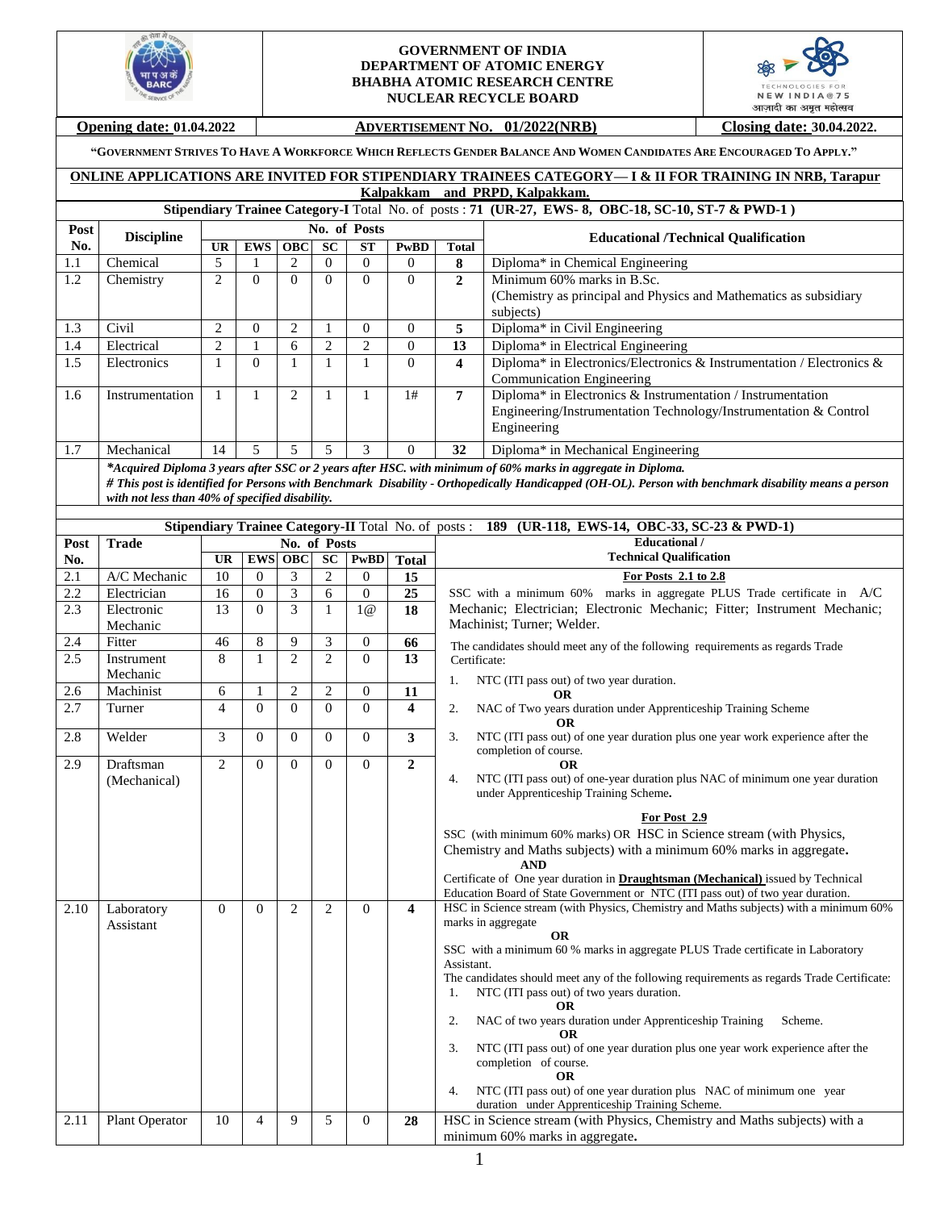

#### **GOVERNMENT OF INDIA DEPARTMENT OF ATOMIC ENERGY BHABHA ATOMIC RESEARCH CENTRE NUCLEAR RECYCLE BOARD**



# **Opening date: 01.04.2022 ADVERTISEMENT NO. 01/2022(NRB)** Closing date: 30.04.2022.

"GOVERNMENT STRIVES TO HAVE A WORKFORCE WHICH REFLECTS GENDER BALANCE AND WOMEN CANDIDATES ARE ENCOURAGED TO APPLY."

## **ONLINE APPLICATIONS ARE INVITED FOR STIPENDIARY TRAINEES CATEGORY— I & II FOR TRAINING IN NRB, Tarapur Kalpakkam and PRPD, Kalpakkam.**

# **Stipendiary Trainee Category-I** Total No. of posts : **71 (UR-27, EWS- 8, OBC-18, SC-10, ST-7 & PWD-1 )**

| Post | <b>Discipline</b>                                                                                            |                                                 | No. of Posts   |   |           |           |          |              | <b>Educational /Technical Qualification</b>                                                                                                           |  |
|------|--------------------------------------------------------------------------------------------------------------|-------------------------------------------------|----------------|---|-----------|-----------|----------|--------------|-------------------------------------------------------------------------------------------------------------------------------------------------------|--|
| No.  |                                                                                                              | UR                                              | <b>EWS</b> OBC |   | <b>SC</b> | <b>ST</b> | PwBD     | Total        |                                                                                                                                                       |  |
| 1.1  | Chemical                                                                                                     | 5                                               |                |   | O         | $\theta$  | 0        | 8            | Diploma* in Chemical Engineering                                                                                                                      |  |
| 1.2  | Chemistry                                                                                                    | 2                                               | $\theta$       |   | 0         | $\Omega$  | $\Omega$ | $\mathbf{2}$ | Minimum 60% marks in B.Sc.                                                                                                                            |  |
|      |                                                                                                              |                                                 |                |   |           |           |          |              | (Chemistry as principal and Physics and Mathematics as subsidiary                                                                                     |  |
|      |                                                                                                              |                                                 |                |   |           |           |          |              | subjects)                                                                                                                                             |  |
| 1.3  | Civil                                                                                                        | 2                                               | 0              |   |           | 0         | 0        | 5            | Diploma* in Civil Engineering                                                                                                                         |  |
| 1.4  | Electrical                                                                                                   | $\overline{c}$                                  |                | 6 |           | ◠         | $\Omega$ | 13           | Diploma* in Electrical Engineering                                                                                                                    |  |
| 1.5  | Electronics                                                                                                  |                                                 | $\Omega$       |   |           |           | $\Omega$ | 4            | Diploma* in Electronics/Electronics & Instrumentation / Electronics &                                                                                 |  |
|      |                                                                                                              |                                                 |                |   |           |           |          |              | Communication Engineering                                                                                                                             |  |
| 1.6  | Instrumentation                                                                                              |                                                 |                | 2 |           |           | 1#       | 7            | Diploma* in Electronics & Instrumentation / Instrumentation                                                                                           |  |
|      |                                                                                                              |                                                 |                |   |           |           |          |              | Engineering/Instrumentation Technology/Instrumentation & Control                                                                                      |  |
|      |                                                                                                              |                                                 |                |   |           |           |          |              | Engineering                                                                                                                                           |  |
| 1.7  | Mechanical                                                                                                   | 14                                              | 5              | ∍ | ↑         | 3         | $\Omega$ | 32           | Diploma* in Mechanical Engineering                                                                                                                    |  |
|      | *Acquired Diploma 3 years after SSC or 2 years after HSC. with minimum of 60% marks in aggregate in Diploma. |                                                 |                |   |           |           |          |              |                                                                                                                                                       |  |
|      |                                                                                                              |                                                 |                |   |           |           |          |              | # This post is identified for Persons with Benchmark Disability - Orthopedically Handicapped (OH-OL). Person with benchmark disability means a person |  |
|      |                                                                                                              | with not less than 40% of specified disability. |                |   |           |           |          |              |                                                                                                                                                       |  |

|      |                |                |                |                |                |                |                         | Stipendiary Trainee Category-II Total No. of posts: 189 (UR-118, EWS-14, OBC-33, SC-23 & PWD-1)                                                              |
|------|----------------|----------------|----------------|----------------|----------------|----------------|-------------------------|--------------------------------------------------------------------------------------------------------------------------------------------------------------|
| Post | <b>Trade</b>   |                |                |                | No. of Posts   |                |                         | <b>Educational</b> /                                                                                                                                         |
| No.  |                | <b>UR</b>      | <b>EWS</b>     | <b>OBC</b>     | <b>SC</b>      | <b>PwBD</b>    | <b>Total</b>            | <b>Technical Qualification</b>                                                                                                                               |
| 2.1  | A/C Mechanic   | 10             | $\mathbf{0}$   | 3              | $\mathfrak{2}$ | $\overline{0}$ | 15                      | For Posts 2.1 to 2.8                                                                                                                                         |
| 2.2  | Electrician    | 16             | $\overline{0}$ | $\overline{3}$ | 6              | $\overline{0}$ | 25                      | SSC with a minimum 60% marks in aggregate PLUS Trade certificate in A/C                                                                                      |
| 2.3  | Electronic     | 13             | $\Omega$       | 3              | $\mathbf{1}$   | 1@             | 18                      | Mechanic; Electrician; Electronic Mechanic; Fitter; Instrument Mechanic;                                                                                     |
|      | Mechanic       |                |                |                |                |                |                         | Machinist: Turner: Welder.                                                                                                                                   |
| 2.4  | Fitter         | 46             | 8              | 9              | 3              | $\theta$       | 66                      | The candidates should meet any of the following requirements as regards Trade                                                                                |
| 2.5  | Instrument     | 8              | $\mathbf{1}$   | $\overline{2}$ | $\overline{2}$ | $\theta$       | 13                      | Certificate:                                                                                                                                                 |
|      | Mechanic       |                |                |                |                |                |                         | NTC (ITI pass out) of two year duration.<br>1.                                                                                                               |
| 2.6  | Machinist      | 6              | 1              | $\overline{c}$ | $\overline{2}$ | $\mathbf{0}$   | 11                      | ОR                                                                                                                                                           |
| 2.7  | Turner         | $\overline{4}$ | $\Omega$       | $\theta$       | $\Omega$       | $\Omega$       | $\overline{\mathbf{4}}$ | 2.<br>NAC of Two years duration under Apprenticeship Training Scheme<br><b>OR</b>                                                                            |
| 2.8  | Welder         | 3              | $\overline{0}$ | $\mathbf{0}$   | $\mathbf{0}$   | $\mathbf{0}$   | 3                       | NTC (ITI pass out) of one year duration plus one year work experience after the<br>3.<br>completion of course.                                               |
| 2.9  | Draftsman      | $\overline{2}$ | $\Omega$       | $\Omega$       | $\Omega$       | $\Omega$       | $\overline{2}$          | OR                                                                                                                                                           |
|      | (Mechanical)   |                |                |                |                |                |                         | NTC (ITI pass out) of one-year duration plus NAC of minimum one year duration<br>4.<br>under Apprenticeship Training Scheme.                                 |
|      |                |                |                |                |                |                |                         | For Post 2.9<br>SSC (with minimum 60% marks) OR HSC in Science stream (with Physics,<br>Chemistry and Maths subjects) with a minimum 60% marks in aggregate. |
|      |                |                |                |                |                |                |                         | <b>AND</b><br>Certificate of One year duration in <b>Draughtsman</b> (Mechanical) issued by Technical                                                        |
|      |                |                |                |                |                |                |                         | Education Board of State Government or NTC (ITI pass out) of two year duration.                                                                              |
| 2.10 | Laboratory     | $\Omega$       | $\Omega$       | $\overline{2}$ | $\overline{2}$ | $\Omega$       | $\overline{\mathbf{4}}$ | HSC in Science stream (with Physics, Chemistry and Maths subjects) with a minimum 60%                                                                        |
|      | Assistant      |                |                |                |                |                |                         | marks in aggregate                                                                                                                                           |
|      |                |                |                |                |                |                |                         | <b>OR</b>                                                                                                                                                    |
|      |                |                |                |                |                |                |                         | SSC with a minimum 60 % marks in aggregate PLUS Trade certificate in Laboratory<br>Assistant.                                                                |
|      |                |                |                |                |                |                |                         | The candidates should meet any of the following requirements as regards Trade Certificate:                                                                   |
|      |                |                |                |                |                |                |                         | NTC (ITI pass out) of two years duration.<br>1.                                                                                                              |
|      |                |                |                |                |                |                |                         | <b>OR</b>                                                                                                                                                    |
|      |                |                |                |                |                |                |                         | NAC of two years duration under Apprenticeship Training<br>2.<br>Scheme.<br>ОR                                                                               |
|      |                |                |                |                |                |                |                         | NTC (ITI pass out) of one year duration plus one year work experience after the<br>3.<br>completion of course.                                               |
|      |                |                |                |                |                |                |                         | <b>OR</b>                                                                                                                                                    |
|      |                |                |                |                |                |                |                         | NTC (ITI pass out) of one year duration plus NAC of minimum one year<br>4.<br>duration under Apprenticeship Training Scheme.                                 |
| 2.11 | Plant Operator | 10             | $\overline{4}$ | 9              | 5              | $\mathbf{0}$   | 28                      | HSC in Science stream (with Physics, Chemistry and Maths subjects) with a                                                                                    |
|      |                |                |                |                |                |                |                         | minimum 60% marks in aggregate.                                                                                                                              |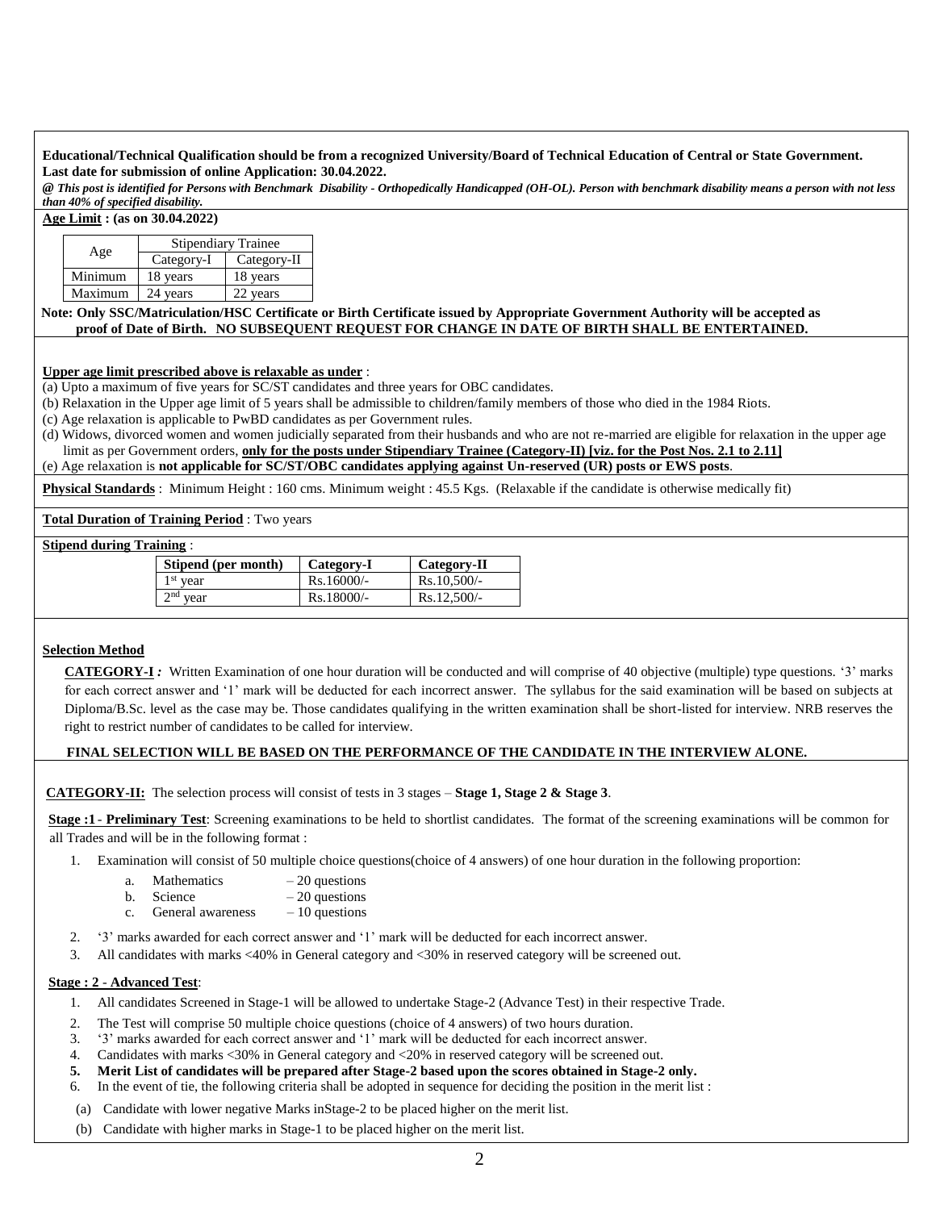#### **Educational/Technical Qualification should be from a recognized University/Board of Technical Education of Central or State Government. Last date for submission of online Application: 30.04.2022.**

*@ This post is identified for Persons with Benchmark Disability - Orthopedically Handicapped (OH-OL). Person with benchmark disability means a person with not less than 40% of specified disability.*

**Age Limit : (as on 30.04.2022)**

|         | <b>Stipendiary Trainee</b> |             |  |  |  |  |  |
|---------|----------------------------|-------------|--|--|--|--|--|
| Age     | Category-I                 | Category-II |  |  |  |  |  |
| Minimum | 18 years                   | 18 years    |  |  |  |  |  |
| Maximum | 24 years                   | vears       |  |  |  |  |  |

#### **Note: Only SSC/Matriculation/HSC Certificate or Birth Certificate issued by Appropriate Government Authority will be accepted as proof of Date of Birth. NO SUBSEQUENT REQUEST FOR CHANGE IN DATE OF BIRTH SHALL BE ENTERTAINED.**

#### **Upper age limit prescribed above is relaxable as under** :

(a) Upto a maximum of five years for SC/ST candidates and three years for OBC candidates.

(b) Relaxation in the Upper age limit of 5 years shall be admissible to children/family members of those who died in the 1984 Riots.

(c) Age relaxation is applicable to PwBD candidates as per Government rules.

(d) Widows, divorced women and women judicially separated from their husbands and who are not re-married are eligible for relaxation in the upper age limit as per Government orders, **only for the posts under Stipendiary Trainee (Category-II) [viz. for the Post Nos. 2.1 to 2.11]**

(e) Age relaxation is **not applicable for SC/ST/OBC candidates applying against Un-reserved (UR) posts or EWS posts**.

**Physical Standards** : Minimum Height : 160 cms. Minimum weight : 45.5 Kgs. (Relaxable if the candidate is otherwise medically fit)

**Total Duration of Training Period** : Two years

#### **Stipend during Training** :

| Stipend (per month) | Category-I   | Category-II   |
|---------------------|--------------|---------------|
| $1st$ year          | $Rs.16000/-$ | $Rs.10.500/-$ |
| $2nd$ vear          | $Rs.18000/-$ | $Rs.12.500/-$ |

## **Selection Method**

**CATEGORY-I** *:* Written Examination of one hour duration will be conducted and will comprise of 40 objective (multiple) type questions. '3' marks for each correct answer and '1' mark will be deducted for each incorrect answer. The syllabus for the said examination will be based on subjects at Diploma/B.Sc. level as the case may be. Those candidates qualifying in the written examination shall be short-listed for interview. NRB reserves the right to restrict number of candidates to be called for interview.

## **FINAL SELECTION WILL BE BASED ON THE PERFORMANCE OF THE CANDIDATE IN THE INTERVIEW ALONE.**

**CATEGORY-II:**The selection process will consist of tests in 3 stages – **Stage 1, Stage 2 & Stage 3**.

**Stage :1** - **Preliminary Test**: Screening examinations to be held to shortlist candidates. The format of the screening examinations will be common for all Trades and will be in the following format :

- 1. Examination will consist of 50 multiple choice questions(choice of 4 answers) of one hour duration in the following proportion:
	- a. Mathematics  $-20$  questions
	- b. Science  $-20$  questions
	- c. General awareness  $-10$  questions
- 2. '3' marks awarded for each correct answer and '1' mark will be deducted for each incorrect answer.
- 3. All candidates with marks <40% in General category and <30% in reserved category will be screened out.

## **Stage : 2** - **Advanced Test**:

- 1. All candidates Screened in Stage-1 will be allowed to undertake Stage-2 (Advance Test) in their respective Trade.
- 2. The Test will comprise 50 multiple choice questions (choice of 4 answers) of two hours duration.
- 3. '3' marks awarded for each correct answer and '1' mark will be deducted for each incorrect answer.
- 4. Candidates with marks <30% in General category and <20% in reserved category will be screened out.
- **5. Merit List of candidates will be prepared after Stage-2 based upon the scores obtained in Stage-2 only.**
- 6. In the event of tie, the following criteria shall be adopted in sequence for deciding the position in the merit list :
- (a) Candidate with lower negative Marks inStage-2 to be placed higher on the merit list.
- (b) Candidate with higher marks in Stage-1 to be placed higher on the merit list.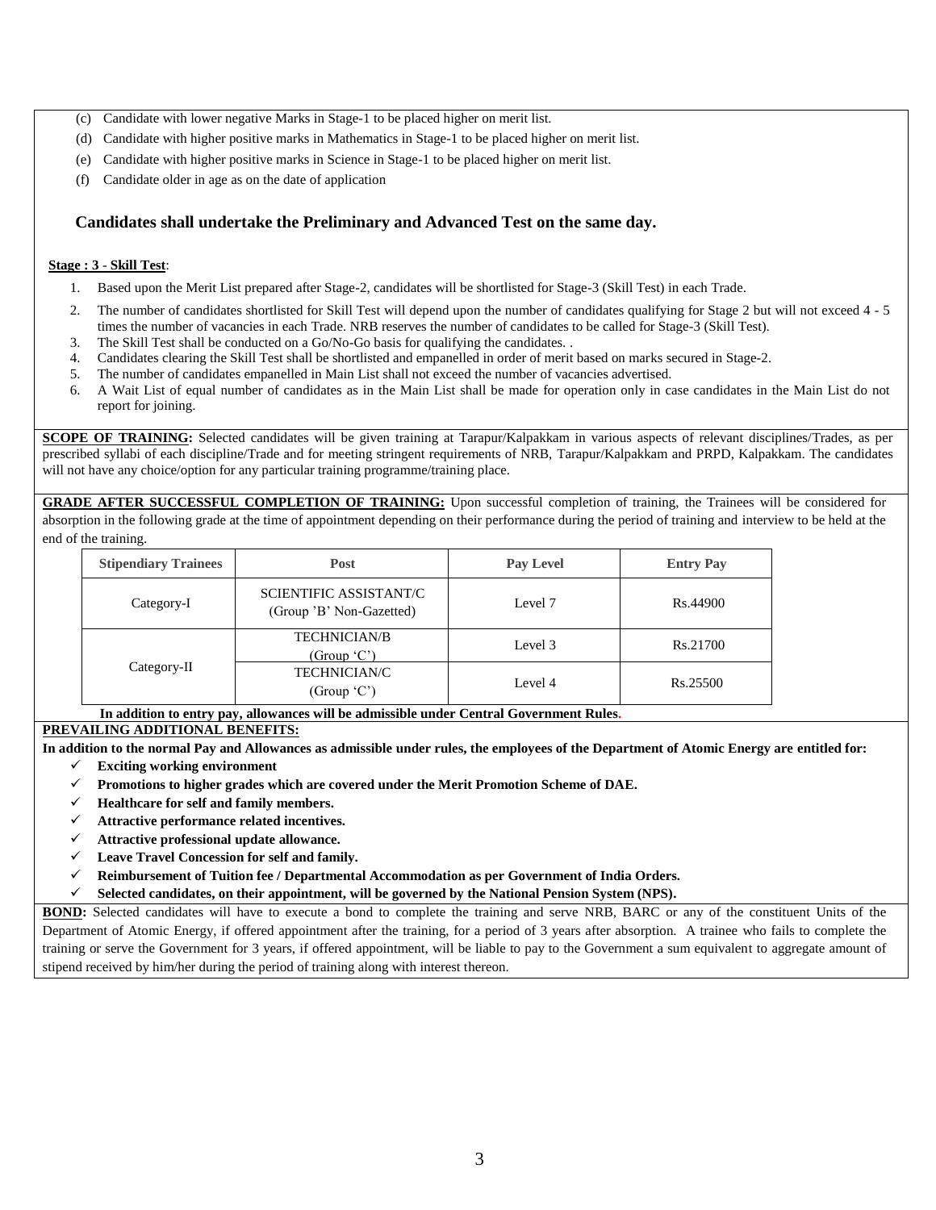- (c) Candidate with lower negative Marks in Stage-1 to be placed higher on merit list.
- (d) Candidate with higher positive marks in Mathematics in Stage-1 to be placed higher on merit list.
- (e) Candidate with higher positive marks in Science in Stage-1 to be placed higher on merit list.
- (f) Candidate older in age as on the date of application

## **Candidates shall undertake the Preliminary and Advanced Test on the same day.**

#### **Stage : 3** - **Skill Test**:

- 1. Based upon the Merit List prepared after Stage-2, candidates will be shortlisted for Stage-3 (Skill Test) in each Trade.
- 2. The number of candidates shortlisted for Skill Test will depend upon the number of candidates qualifying for Stage 2 but will not exceed 4 5 times the number of vacancies in each Trade. NRB reserves the number of candidates to be called for Stage-3 (Skill Test).
- 3. The Skill Test shall be conducted on a Go/No-Go basis for qualifying the candidates. .
- 4. Candidates clearing the Skill Test shall be shortlisted and empanelled in order of merit based on marks secured in Stage-2.
- 5. The number of candidates empanelled in Main List shall not exceed the number of vacancies advertised.
- 6. A Wait List of equal number of candidates as in the Main List shall be made for operation only in case candidates in the Main List do not report for joining.

**SCOPE OF TRAINING:** Selected candidates will be given training at Tarapur/Kalpakkam in various aspects of relevant disciplines/Trades, as per prescribed syllabi of each discipline/Trade and for meeting stringent requirements of NRB, Tarapur/Kalpakkam and PRPD, Kalpakkam. The candidates will not have any choice/option for any particular training programme/training place.

**GRADE AFTER SUCCESSFUL COMPLETION OF TRAINING:** Upon successful completion of training, the Trainees will be considered for absorption in the following grade at the time of appointment depending on their performance during the period of training and interview to be held at the end of the training.

| <b>Stipendiary Trainees</b> | Post                                               | <b>Pay Level</b> | <b>Entry Pay</b> |
|-----------------------------|----------------------------------------------------|------------------|------------------|
| Category-I                  | SCIENTIFIC ASSISTANT/C<br>(Group 'B' Non-Gazetted) | Level 7          | Rs.44900         |
|                             | <b>TECHNICIAN/B</b><br>(Group 'C')                 | Level 3          | Rs.21700         |
| Category-II                 | <b>TECHNICIAN/C</b><br>(Group $(C')$               | Level 4          | Rs.25500         |

**In addition to entry pay, allowances will be admissible under Central Government Rules.**

## **PREVAILING ADDITIONAL BENEFITS:**

**In addition to the normal Pay and Allowances as admissible under rules, the employees of the Department of Atomic Energy are entitled for:**

- **Exciting working environment**
- **Promotions to higher grades which are covered under the Merit Promotion Scheme of DAE.**
- **Healthcare for self and family members.**
- **Attractive performance related incentives.**
- **Attractive professional update allowance.**
- **Leave Travel Concession for self and family.**
- **Reimbursement of Tuition fee / Departmental Accommodation as per Government of India Orders.**
- **Selected candidates, on their appointment, will be governed by the National Pension System (NPS).**

**BOND:** Selected candidates will have to execute a bond to complete the training and serve NRB, BARC or any of the constituent Units of the Department of Atomic Energy, if offered appointment after the training, for a period of 3 years after absorption. A trainee who fails to complete the training or serve the Government for 3 years, if offered appointment, will be liable to pay to the Government a sum equivalent to aggregate amount of stipend received by him/her during the period of training along with interest thereon.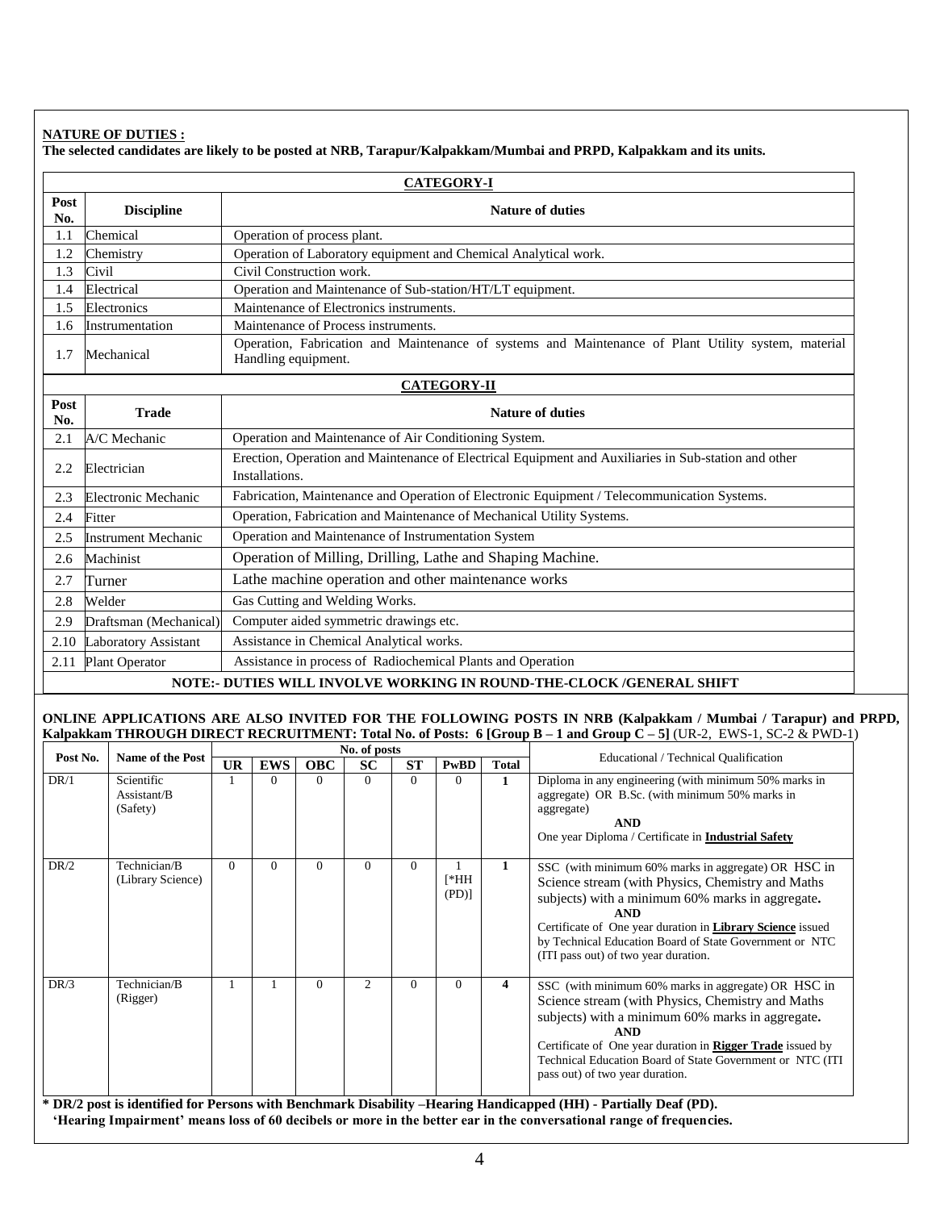# **NATURE OF DUTIES :**

**The selected candidates are likely to be posted at NRB, Tarapur/Kalpakkam/Mumbai and PRPD, Kalpakkam and its units.**

|             | <b>CATEGORY-I</b>          |                                                                                                                            |  |  |  |  |  |
|-------------|----------------------------|----------------------------------------------------------------------------------------------------------------------------|--|--|--|--|--|
| Post<br>No. | <b>Discipline</b>          | <b>Nature of duties</b>                                                                                                    |  |  |  |  |  |
| 1.1         | Chemical                   | Operation of process plant.                                                                                                |  |  |  |  |  |
| 1.2         | Chemistry                  | Operation of Laboratory equipment and Chemical Analytical work.                                                            |  |  |  |  |  |
| 1.3         | Civil                      | Civil Construction work.                                                                                                   |  |  |  |  |  |
| 1.4         | Electrical                 | Operation and Maintenance of Sub-station/HT/LT equipment.                                                                  |  |  |  |  |  |
| 1.5         | Electronics                | Maintenance of Electronics instruments.                                                                                    |  |  |  |  |  |
| 1.6         | Instrumentation            | Maintenance of Process instruments.                                                                                        |  |  |  |  |  |
| 1.7         | Mechanical                 | Operation, Fabrication and Maintenance of systems and Maintenance of Plant Utility system, material<br>Handling equipment. |  |  |  |  |  |
|             | <b>CATEGORY-II</b>         |                                                                                                                            |  |  |  |  |  |
| Post<br>No. | <b>Trade</b>               | <b>Nature of duties</b>                                                                                                    |  |  |  |  |  |
| 2.1         | A/C Mechanic               | Operation and Maintenance of Air Conditioning System.                                                                      |  |  |  |  |  |
| 2.2         | Electrician                | Erection, Operation and Maintenance of Electrical Equipment and Auxiliaries in Sub-station and other<br>Installations.     |  |  |  |  |  |
| 2.3         | Electronic Mechanic        | Fabrication, Maintenance and Operation of Electronic Equipment / Telecommunication Systems.                                |  |  |  |  |  |
| 2.4         | Fitter                     | Operation, Fabrication and Maintenance of Mechanical Utility Systems.                                                      |  |  |  |  |  |
| 2.5         | <b>Instrument Mechanic</b> | Operation and Maintenance of Instrumentation System                                                                        |  |  |  |  |  |
| 2.6         | Machinist                  | Operation of Milling, Drilling, Lathe and Shaping Machine.                                                                 |  |  |  |  |  |
| 2.7         | Turner                     | Lathe machine operation and other maintenance works                                                                        |  |  |  |  |  |
| 2.8         | Welder                     | Gas Cutting and Welding Works.                                                                                             |  |  |  |  |  |
| 2.9         | Draftsman (Mechanical)     | Computer aided symmetric drawings etc.                                                                                     |  |  |  |  |  |
| 2.10        | Laboratory Assistant       | Assistance in Chemical Analytical works.                                                                                   |  |  |  |  |  |
| 2.11        | <b>Plant Operator</b>      | Assistance in process of Radiochemical Plants and Operation                                                                |  |  |  |  |  |
|             |                            | NOTE:- DUTIES WILL INVOLVE WORKING IN ROUND-THE-CLOCK/GENERAL SHIFT                                                        |  |  |  |  |  |

#### **ONLINE APPLICATIONS ARE ALSO INVITED FOR THE FOLLOWING POSTS IN NRB (Kalpakkam / Mumbai / Tarapur) and PRPD, Kalpakkam THROUGH DIRECT RECRUITMENT: Total No. of Posts: 6 [Group B – 1 and Group C – 5]** (UR-2, EWS-1, SC-2 & PWD-1)

|          |                                       |    |            |            | No. of posts   |           |                     |              |                                                                                                                                                                                                                                                                                                                                                     |
|----------|---------------------------------------|----|------------|------------|----------------|-----------|---------------------|--------------|-----------------------------------------------------------------------------------------------------------------------------------------------------------------------------------------------------------------------------------------------------------------------------------------------------------------------------------------------------|
| Post No. | Name of the Post                      | UR | <b>EWS</b> | <b>OBC</b> | <b>SC</b>      | <b>ST</b> | <b>PwBD</b>         | <b>Total</b> | Educational / Technical Qualification                                                                                                                                                                                                                                                                                                               |
| DR/1     | Scientific<br>Assistant/B<br>(Safety) |    | $\Omega$   | $\Omega$   |                | $\Omega$  | 0                   |              | Diploma in any engineering (with minimum 50% marks in<br>aggregate) OR B.Sc. (with minimum 50% marks in<br>aggregate)<br><b>AND</b><br>One year Diploma / Certificate in <b>Industrial Safety</b>                                                                                                                                                   |
| DR/2     | Technician/B<br>(Library Science)     | 0  | $\Omega$   | $\Omega$   | 0              | $\Omega$  | $[*HH]$<br>$(PD)$ ] |              | SSC (with minimum 60% marks in aggregate) OR HSC in<br>Science stream (with Physics, Chemistry and Maths)<br>subjects) with a minimum 60% marks in aggregate.<br><b>AND</b><br>Certificate of One year duration in <b>Library Science</b> issued<br>by Technical Education Board of State Government or NTC<br>(ITI pass out) of two year duration. |
| DR/3     | Technician/B<br>(Rigger)              |    |            | $\Omega$   | $\mathfrak{D}$ | 0         | 0                   | 4            | SSC (with minimum 60% marks in aggregate) OR HSC in<br>Science stream (with Physics, Chemistry and Maths)<br>subjects) with a minimum 60% marks in aggregate.<br><b>AND</b><br>Certificate of One year duration in <b>Rigger Trade</b> issued by<br>Technical Education Board of State Government or NTC (ITI<br>pass out) of two year duration.    |

**\* DR/2 post is identified for Persons with Benchmark Disability –Hearing Handicapped (HH) - Partially Deaf (PD). 'Hearing Impairment' means loss of 60 decibels or more in the better ear in the conversational range of frequencies.**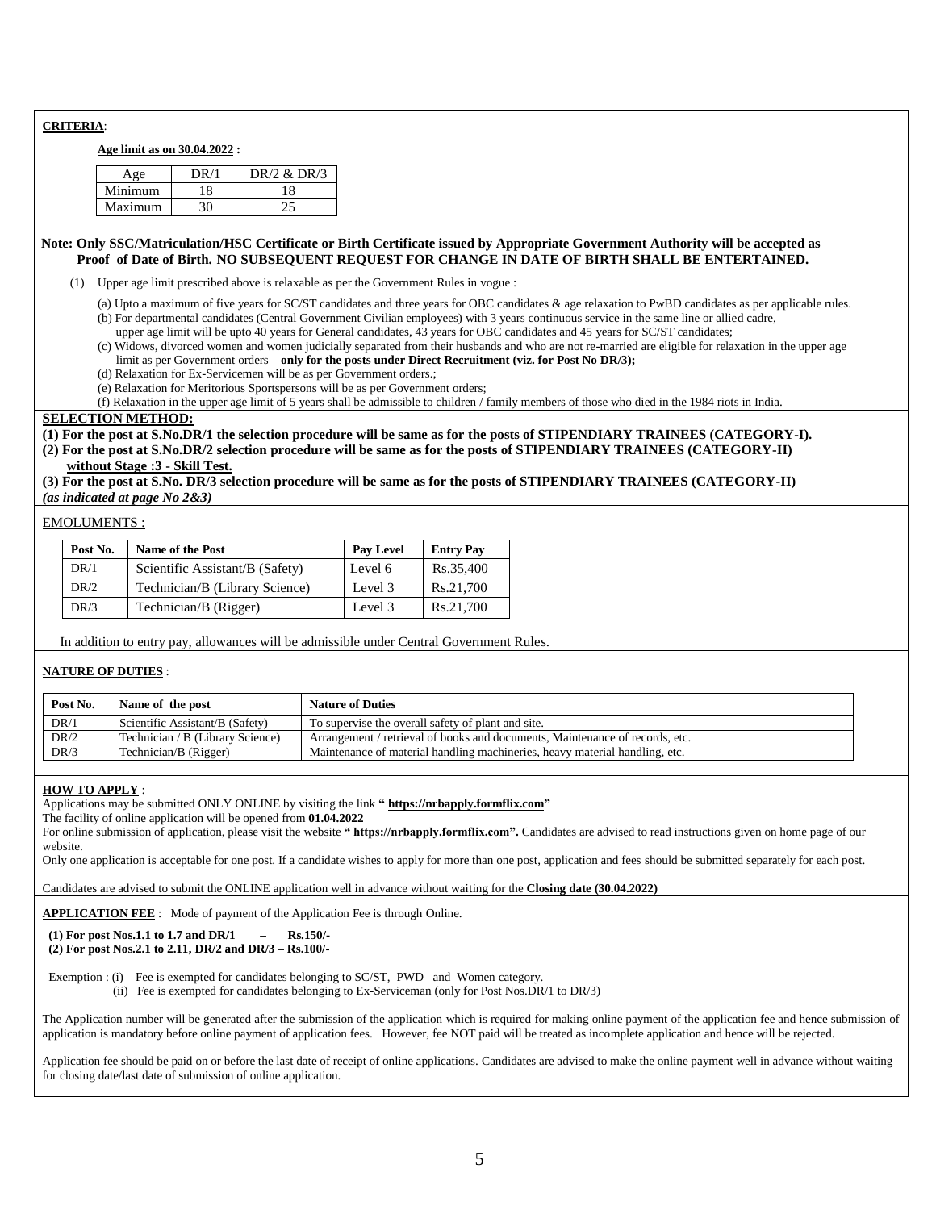## **CRITERIA**:

#### **Age limit as on 30.04.2022 :**

|                 | DR/2 & DR/3 |
|-----------------|-------------|
| <i>A</i> inimum |             |
| Maximum         |             |

#### **Note: Only SSC/Matriculation/HSC Certificate or Birth Certificate issued by Appropriate Government Authority will be accepted as Proof of Date of Birth. NO SUBSEQUENT REQUEST FOR CHANGE IN DATE OF BIRTH SHALL BE ENTERTAINED.**

(1) Upper age limit prescribed above is relaxable as per the Government Rules in vogue :

- (a) Upto a maximum of five years for SC/ST candidates and three years for OBC candidates & age relaxation to PwBD candidates as per applicable rules. (b) For departmental candidates (Central Government Civilian employees) with 3 years continuous service in the same line or allied cadre,
	- upper age limit will be upto 40 years for General candidates, 43 years for OBC candidates and 45 years for SC/ST candidates;
- (c) Widows, divorced women and women judicially separated from their husbands and who are not re-married are eligible for relaxation in the upper age limit as per Government orders – **only for the posts under Direct Recruitment (viz. for Post No DR/3);**
- (d) Relaxation for Ex-Servicemen will be as per Government orders.;
- (e) Relaxation for Meritorious Sportspersons will be as per Government orders;

(f) Relaxation in the upper age limit of 5 years shall be admissible to children / family members of those who died in the 1984 riots in India.

## **SELECTION METHOD:**

**(1) For the post at S.No.DR/1 the selection procedure will be same as for the posts of STIPENDIARY TRAINEES (CATEGORY-I). (2) For the post at S.No.DR/2 selection procedure will be same as for the posts of STIPENDIARY TRAINEES (CATEGORY-II) without Stage :3 - Skill Test.**

**(3) For the post at S.No. DR/3 selection procedure will be same as for the posts of STIPENDIARY TRAINEES (CATEGORY-II)** *(as indicated at page No 2&3)*

EMOLUMENTS :

| Post No. | <b>Name of the Post</b>         | <b>Pay Level</b> | <b>Entry Pay</b> |
|----------|---------------------------------|------------------|------------------|
| DR/1     | Scientific Assistant/B (Safety) | Level 6          | Rs.35.400        |
| DR/2     | Technician/B (Library Science)  | Level 3          | Rs.21.700        |
| DR/3     | Technician/B (Rigger)           | Level 3          | Rs.21.700        |

In addition to entry pay, allowances will be admissible under Central Government Rules.

## **NATURE OF DUTIES** :

| Post No. | Name of the post                 | <b>Nature of Duties</b>                                                      |
|----------|----------------------------------|------------------------------------------------------------------------------|
| DR/1     | Scientific Assistant/B (Safety)  | To supervise the overall safety of plant and site.                           |
| DR/2     | Technician / B (Library Science) | Arrangement / retrieval of books and documents. Maintenance of records, etc. |
| DR/3     | Technician/B (Rigger)            | Maintenance of material handling machineries, heavy material handling, etc.  |

#### **HOW TO APPLY** :

Applications may be submitted ONLY ONLINE by visiting the link **" https://nrbapply.formflix.com"**

The facility of online application will be opened from **01.04.2022**

For online submission of application, please visit the website " https://nrbapply.formflix.com". Candidates are advised to read instructions given on home page of our website.

Only one application is acceptable for one post. If a candidate wishes to apply for more than one post, application and fees should be submitted separately for each post.

Candidates are advised to submit the ONLINE application well in advance without waiting for the **Closing date (30.04.2022)**

**APPLICATION FEE** : Mode of payment of the Application Fee is through Online.

**(1) For post Nos.1.1 to 1.7 and DR/1 – Rs.150/-**

 **(2) For post Nos.2.1 to 2.11, DR/2 and DR/3 – Rs.100/-**

Exemption : (i) Fee is exempted for candidates belonging to SC/ST, PWD and Women category.

(ii) Fee is exempted for candidates belonging to Ex-Serviceman (only for Post Nos.DR/1 to DR/3)

The Application number will be generated after the submission of the application which is required for making online payment of the application fee and hence submission of application is mandatory before online payment of application fees. However, fee NOT paid will be treated as incomplete application and hence will be rejected.

Application fee should be paid on or before the last date of receipt of online applications. Candidates are advised to make the online payment well in advance without waiting for closing date/last date of submission of online application.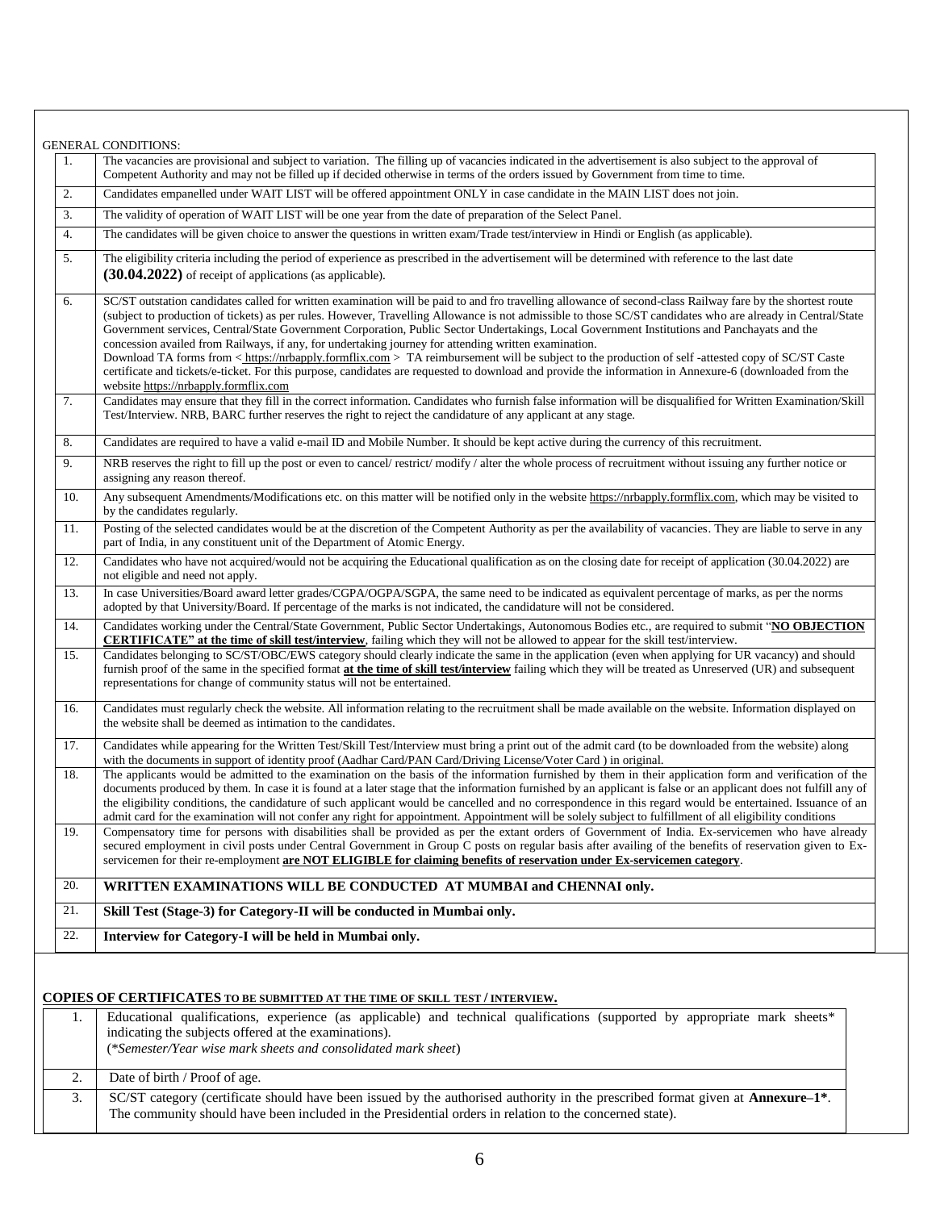| 1.  | The vacancies are provisional and subject to variation. The filling up of vacancies indicated in the advertisement is also subject to the approval of<br>Competent Authority and may not be filled up if decided otherwise in terms of the orders issued by Government from time to time.                                                                                                                                                                                                                                                                                                                                                                                                                                                                                                                                                                                                                                                |
|-----|------------------------------------------------------------------------------------------------------------------------------------------------------------------------------------------------------------------------------------------------------------------------------------------------------------------------------------------------------------------------------------------------------------------------------------------------------------------------------------------------------------------------------------------------------------------------------------------------------------------------------------------------------------------------------------------------------------------------------------------------------------------------------------------------------------------------------------------------------------------------------------------------------------------------------------------|
| 2.  | Candidates empanelled under WAIT LIST will be offered appointment ONLY in case candidate in the MAIN LIST does not join.                                                                                                                                                                                                                                                                                                                                                                                                                                                                                                                                                                                                                                                                                                                                                                                                                 |
| 3.  | The validity of operation of WAIT LIST will be one year from the date of preparation of the Select Panel.                                                                                                                                                                                                                                                                                                                                                                                                                                                                                                                                                                                                                                                                                                                                                                                                                                |
| 4.  | The candidates will be given choice to answer the questions in written exam/Trade test/interview in Hindi or English (as applicable).                                                                                                                                                                                                                                                                                                                                                                                                                                                                                                                                                                                                                                                                                                                                                                                                    |
| 5.  | The eligibility criteria including the period of experience as prescribed in the advertisement will be determined with reference to the last date<br>$(30.04.2022)$ of receipt of applications (as applicable).                                                                                                                                                                                                                                                                                                                                                                                                                                                                                                                                                                                                                                                                                                                          |
| 6.  | SC/ST outstation candidates called for written examination will be paid to and fro travelling allowance of second-class Railway fare by the shortest route<br>(subject to production of tickets) as per rules. However, Travelling Allowance is not admissible to those SC/ST candidates who are already in Central/State<br>Government services, Central/State Government Corporation, Public Sector Undertakings, Local Government Institutions and Panchayats and the<br>concession availed from Railways, if any, for undertaking journey for attending written examination.<br>Download TA forms from < https://nrbapply.formflix.com > TA reimbursement will be subject to the production of self-attested copy of SC/ST Caste<br>certificate and tickets/e-ticket. For this purpose, candidates are requested to download and provide the information in Annexure-6 (downloaded from the<br>website https://nrbapply.formflix.com |
| 7.  | Candidates may ensure that they fill in the correct information. Candidates who furnish false information will be disqualified for Written Examination/Skill<br>Test/Interview. NRB, BARC further reserves the right to reject the candidature of any applicant at any stage.                                                                                                                                                                                                                                                                                                                                                                                                                                                                                                                                                                                                                                                            |
| 8.  | Candidates are required to have a valid e-mail ID and Mobile Number. It should be kept active during the currency of this recruitment.                                                                                                                                                                                                                                                                                                                                                                                                                                                                                                                                                                                                                                                                                                                                                                                                   |
| 9.  | NRB reserves the right to fill up the post or even to cancel/ restrict/modify / alter the whole process of recruitment without issuing any further notice or<br>assigning any reason thereof.                                                                                                                                                                                                                                                                                                                                                                                                                                                                                                                                                                                                                                                                                                                                            |
| 10. | Any subsequent Amendments/Modifications etc. on this matter will be notified only in the website https://nrbapply.formflix.com, which may be visited to<br>by the candidates regularly.                                                                                                                                                                                                                                                                                                                                                                                                                                                                                                                                                                                                                                                                                                                                                  |
| 11. | Posting of the selected candidates would be at the discretion of the Competent Authority as per the availability of vacancies. They are liable to serve in any<br>part of India, in any constituent unit of the Department of Atomic Energy.                                                                                                                                                                                                                                                                                                                                                                                                                                                                                                                                                                                                                                                                                             |
| 12. | Candidates who have not acquired/would not be acquiring the Educational qualification as on the closing date for receipt of application (30.04.2022) are<br>not eligible and need not apply.                                                                                                                                                                                                                                                                                                                                                                                                                                                                                                                                                                                                                                                                                                                                             |
| 13. | In case Universities/Board award letter grades/CGPA/OGPA/SGPA, the same need to be indicated as equivalent percentage of marks, as per the norms<br>adopted by that University/Board. If percentage of the marks is not indicated, the candidature will not be considered.                                                                                                                                                                                                                                                                                                                                                                                                                                                                                                                                                                                                                                                               |
| 14. | Candidates working under the Central/State Government, Public Sector Undertakings, Autonomous Bodies etc., are required to submit "NO OBJECTION<br><b>CERTIFICATE"</b> at the time of skill test/interview, failing which they will not be allowed to appear for the skill test/interview.                                                                                                                                                                                                                                                                                                                                                                                                                                                                                                                                                                                                                                               |
| 15. | Candidates belonging to SC/ST/OBC/EWS category should clearly indicate the same in the application (even when applying for UR vacancy) and should<br>furnish proof of the same in the specified format at the time of skill test/interview failing which they will be treated as Unreserved (UR) and subsequent<br>representations for change of community status will not be entertained.                                                                                                                                                                                                                                                                                                                                                                                                                                                                                                                                               |
| 16. | Candidates must regularly check the website. All information relating to the recruitment shall be made available on the website. Information displayed on<br>the website shall be deemed as intimation to the candidates.                                                                                                                                                                                                                                                                                                                                                                                                                                                                                                                                                                                                                                                                                                                |
| 17. | Candidates while appearing for the Written Test/Skill Test/Interview must bring a print out of the admit card (to be downloaded from the website) along<br>with the documents in support of identity proof (Aadhar Card/PAN Card/Driving License/Voter Card) in original.                                                                                                                                                                                                                                                                                                                                                                                                                                                                                                                                                                                                                                                                |
| 18. | The applicants would be admitted to the examination on the basis of the information furnished by them in their application form and verification of the<br>documents produced by them. In case it is found at a later stage that the information furnished by an applicant is false or an applicant does not fulfill any of<br>the eligibility conditions, the candidature of such applicant would be cancelled and no correspondence in this regard would be entertained. Issuance of an<br>admit card for the examination will not confer any right for appointment. Appointment will be solely subject to fulfillment of all eligibility conditions                                                                                                                                                                                                                                                                                   |
| 19. | Compensatory time for persons with disabilities shall be provided as per the extant orders of Government of India. Ex-servicemen who have already<br>secured employment in civil posts under Central Government in Group C posts on regular basis after availing of the benefits of reservation given to Ex-<br>servicemen for their re-employment are NOT ELIGIBLE for claiming benefits of reservation under Ex-servicemen category.                                                                                                                                                                                                                                                                                                                                                                                                                                                                                                   |
| 20. | WRITTEN EXAMINATIONS WILL BE CONDUCTED AT MUMBAI and CHENNAI only.                                                                                                                                                                                                                                                                                                                                                                                                                                                                                                                                                                                                                                                                                                                                                                                                                                                                       |
| 21. | Skill Test (Stage-3) for Category-II will be conducted in Mumbai only.                                                                                                                                                                                                                                                                                                                                                                                                                                                                                                                                                                                                                                                                                                                                                                                                                                                                   |
| 22. | Interview for Category-I will be held in Mumbai only.                                                                                                                                                                                                                                                                                                                                                                                                                                                                                                                                                                                                                                                                                                                                                                                                                                                                                    |

| Educational qualifications, experience (as applicable) and technical qualifications (supported by appropriate mark sheets*<br>indicating the subjects offered at the examinations).<br>(*Semester/Year wise mark sheets and consolidated mark sheet) |
|------------------------------------------------------------------------------------------------------------------------------------------------------------------------------------------------------------------------------------------------------|
| Date of birth / Proof of age.                                                                                                                                                                                                                        |
| SC/ST category (certificate should have been issued by the authorised authority in the prescribed format given at Annexure-1*.<br>The community should have been included in the Presidential orders in relation to the concerned state).            |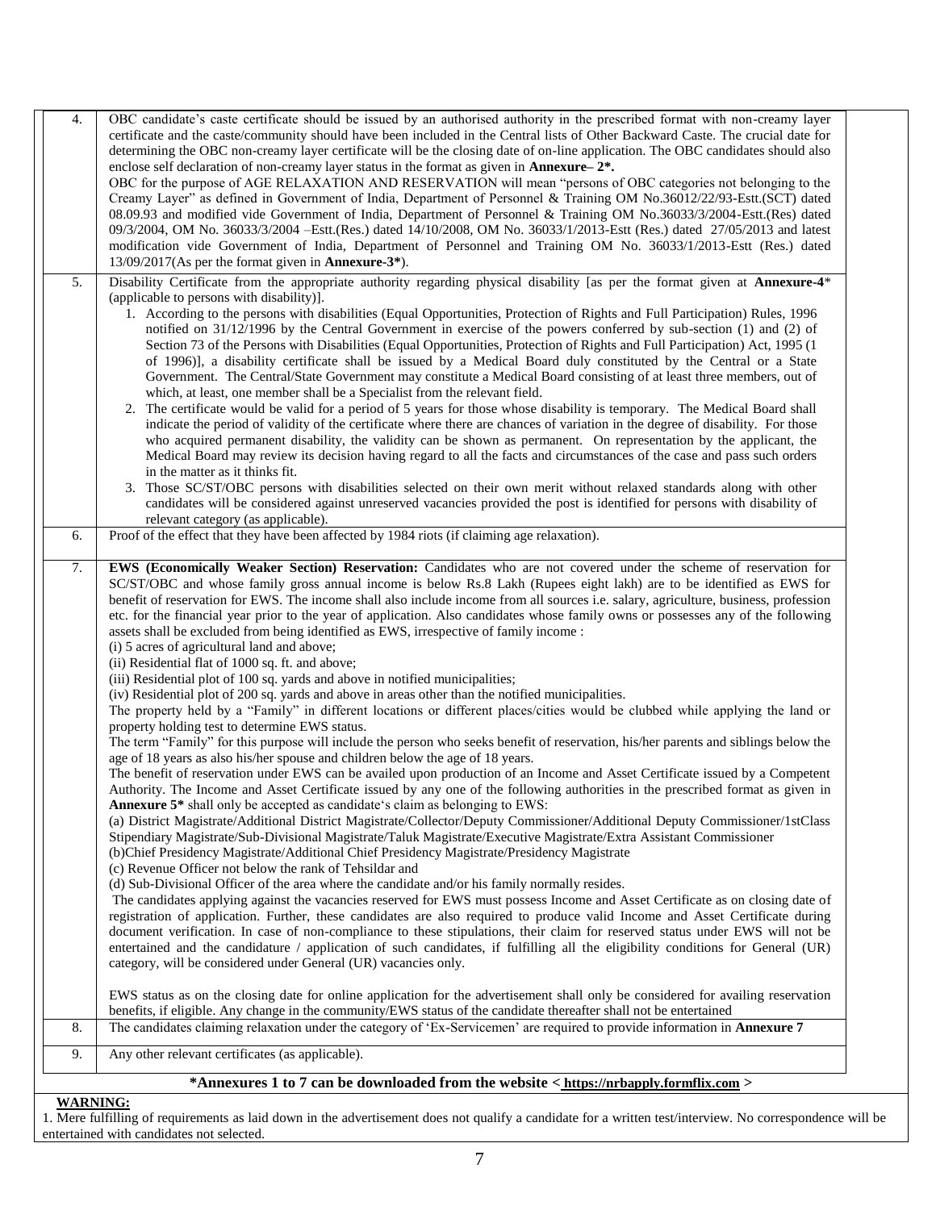| 4.                                                                                     | OBC candidate's caste certificate should be issued by an authorised authority in the prescribed format with non-creamy layer         |
|----------------------------------------------------------------------------------------|--------------------------------------------------------------------------------------------------------------------------------------|
|                                                                                        | certificate and the caste/community should have been included in the Central lists of Other Backward Caste. The crucial date for     |
|                                                                                        | determining the OBC non-creamy layer certificate will be the closing date of on-line application. The OBC candidates should also     |
|                                                                                        | enclose self declaration of non-creamy layer status in the format as given in <b>Annexure</b> $-2$ <sup>*</sup> .                    |
|                                                                                        | OBC for the purpose of AGE RELAXATION AND RESERVATION will mean "persons of OBC categories not belonging to the                      |
|                                                                                        | Creamy Layer" as defined in Government of India, Department of Personnel & Training OM No.36012/22/93-Estt.(SCT) dated               |
|                                                                                        | 08.09.93 and modified vide Government of India, Department of Personnel & Training OM No.36033/3/2004-Estt.(Res) dated               |
|                                                                                        | 09/3/2004, OM No. 36033/3/2004 - Estt.(Res.) dated 14/10/2008, OM No. 36033/1/2013-Estt (Res.) dated 27/05/2013 and latest           |
|                                                                                        | modification vide Government of India, Department of Personnel and Training OM No. 36033/1/2013-Estt (Res.) dated                    |
|                                                                                        | $13/09/2017$ (As per the format given in <b>Annexure-3</b> *).                                                                       |
| 5.                                                                                     | Disability Certificate from the appropriate authority regarding physical disability [as per the format given at Annexure-4*          |
|                                                                                        | (applicable to persons with disability).                                                                                             |
|                                                                                        | 1. According to the persons with disabilities (Equal Opportunities, Protection of Rights and Full Participation) Rules, 1996         |
|                                                                                        | notified on 31/12/1996 by the Central Government in exercise of the powers conferred by sub-section (1) and (2) of                   |
|                                                                                        | Section 73 of the Persons with Disabilities (Equal Opportunities, Protection of Rights and Full Participation) Act, 1995 (1          |
|                                                                                        | of 1996)], a disability certificate shall be issued by a Medical Board duly constituted by the Central or a State                    |
|                                                                                        | Government. The Central/State Government may constitute a Medical Board consisting of at least three members, out of                 |
|                                                                                        | which, at least, one member shall be a Specialist from the relevant field.                                                           |
|                                                                                        | 2. The certificate would be valid for a period of 5 years for those whose disability is temporary. The Medical Board shall           |
|                                                                                        | indicate the period of validity of the certificate where there are chances of variation in the degree of disability. For those       |
|                                                                                        | who acquired permanent disability, the validity can be shown as permanent. On representation by the applicant, the                   |
|                                                                                        | Medical Board may review its decision having regard to all the facts and circumstances of the case and pass such orders              |
|                                                                                        | in the matter as it thinks fit.                                                                                                      |
|                                                                                        | 3. Those SC/ST/OBC persons with disabilities selected on their own merit without relaxed standards along with other                  |
|                                                                                        | candidates will be considered against unreserved vacancies provided the post is identified for persons with disability of            |
|                                                                                        | relevant category (as applicable).                                                                                                   |
| 6.                                                                                     | Proof of the effect that they have been affected by 1984 riots (if claiming age relaxation).                                         |
|                                                                                        |                                                                                                                                      |
| 7.                                                                                     | EWS (Economically Weaker Section) Reservation: Candidates who are not covered under the scheme of reservation for                    |
|                                                                                        | SC/ST/OBC and whose family gross annual income is below Rs.8 Lakh (Rupees eight lakh) are to be identified as EWS for                |
|                                                                                        | benefit of reservation for EWS. The income shall also include income from all sources i.e. salary, agriculture, business, profession |
|                                                                                        | etc. for the financial year prior to the year of application. Also candidates whose family owns or possesses any of the following    |
|                                                                                        | assets shall be excluded from being identified as EWS, irrespective of family income :                                               |
|                                                                                        | (i) 5 acres of agricultural land and above;                                                                                          |
|                                                                                        | (ii) Residential flat of 1000 sq. ft. and above;                                                                                     |
|                                                                                        | (iii) Residential plot of 100 sq. yards and above in notified municipalities;                                                        |
|                                                                                        | (iv) Residential plot of 200 sq. yards and above in areas other than the notified municipalities.                                    |
|                                                                                        | The property held by a "Family" in different locations or different places/cities would be clubbed while applying the land or        |
|                                                                                        | property holding test to determine EWS status.                                                                                       |
|                                                                                        | The term "Family" for this purpose will include the person who seeks benefit of reservation, his/her parents and siblings below the  |
|                                                                                        | age of 18 years as also his/her spouse and children below the age of 18 years.                                                       |
|                                                                                        | The benefit of reservation under EWS can be availed upon production of an Income and Asset Certificate issued by a Competent         |
|                                                                                        | Authority. The Income and Asset Certificate issued by any one of the following authorities in the prescribed format as given in      |
|                                                                                        | Annexure 5 <sup>*</sup> shall only be accepted as candidate's claim as belonging to EWS:                                             |
|                                                                                        | (a) District Magistrate/Additional District Magistrate/Collector/Deputy Commissioner/Additional Deputy Commissioner/1stClass         |
|                                                                                        | Stipendiary Magistrate/Sub-Divisional Magistrate/Taluk Magistrate/Executive Magistrate/Extra Assistant Commissioner                  |
|                                                                                        | (b)Chief Presidency Magistrate/Additional Chief Presidency Magistrate/Presidency Magistrate                                          |
|                                                                                        | (c) Revenue Officer not below the rank of Tehsildar and                                                                              |
|                                                                                        | (d) Sub-Divisional Officer of the area where the candidate and/or his family normally resides.                                       |
|                                                                                        | The candidates applying against the vacancies reserved for EWS must possess Income and Asset Certificate as on closing date of       |
|                                                                                        | registration of application. Further, these candidates are also required to produce valid Income and Asset Certificate during        |
|                                                                                        | document verification. In case of non-compliance to these stipulations, their claim for reserved status under EWS will not be        |
|                                                                                        | entertained and the candidature / application of such candidates, if fulfilling all the eligibility conditions for General (UR)      |
|                                                                                        | category, will be considered under General (UR) vacancies only.                                                                      |
|                                                                                        |                                                                                                                                      |
|                                                                                        | EWS status as on the closing date for online application for the advertisement shall only be considered for availing reservation     |
|                                                                                        | benefits, if eligible. Any change in the community/EWS status of the candidate thereafter shall not be entertained                   |
| 8.                                                                                     | The candidates claiming relaxation under the category of 'Ex-Servicemen' are required to provide information in Annexure 7           |
| 9.                                                                                     | Any other relevant certificates (as applicable).                                                                                     |
| *Annexures 1 to 7 can be downloaded from the website < https://nrbapply.formflix.com > |                                                                                                                                      |
|                                                                                        |                                                                                                                                      |
| <b>WARNING:</b>                                                                        |                                                                                                                                      |

1. Mere fulfilling of requirements as laid down in the advertisement does not qualify a candidate for a written test/interview. No correspondence will be entertained with candidates not selected.